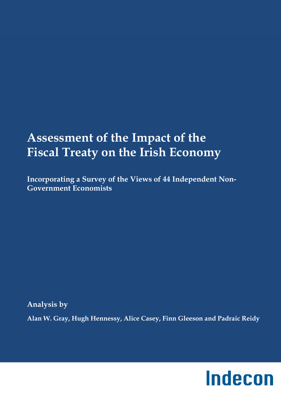# **Assessment of the Impact of the Fiscal Treaty on the Irish Economy**

**Incorporating a Survey of the Views of 44 Independent Non-Government Economists** 

**Analysis by** 

**Alan W. Gray, Hugh Hennessy, Alice Casey, Finn Gleeson and Padraic Reidy** 

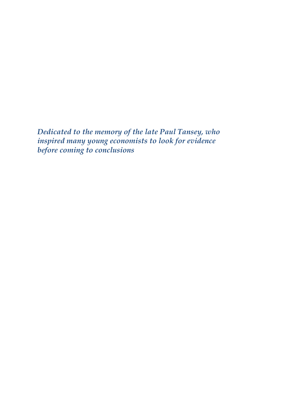*Dedicated to the memory of the late Paul Tansey, who inspired many young economists to look for evidence before coming to conclusions*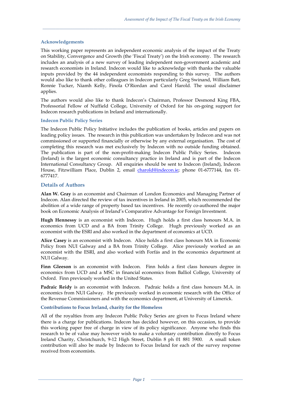#### **Acknowledgements**

This working paper represents an independent economic analysis of the impact of the Treaty on Stability, Convergence and Growth (the 'Fiscal Treaty') on the Irish economy. The research includes an analysis of a new survey of leading independent non-government academic and research economists in Ireland. Indecon would like to acknowledge with thanks the valuable inputs provided by the 44 independent economists responding to this survey. The authors would also like to thank other colleagues in Indecon particularly Greg Swinand, William Batt, Ronnie Tucker, Niamh Kelly, Finola O'Riordan and Carol Harold. The usual disclaimer applies.

*\_\_\_\_\_\_\_\_\_\_\_\_\_\_\_\_\_\_\_\_\_\_\_\_\_\_\_\_\_\_\_\_\_\_\_\_\_\_\_\_\_\_\_\_\_\_\_\_\_\_\_\_\_\_\_\_\_\_\_\_\_\_\_\_\_\_\_\_\_\_\_\_\_\_\_\_\_\_\_\_\_\_\_\_\_\_\_\_\_\_\_\_\_* 

The authors would also like to thank Indecon's Chairman, Professor Desmond King FBA, Professorial Fellow of Nuffield College, University of Oxford for his on-going support for Indecon research publications in Ireland and internationally.

#### **Indecon Public Policy Series**

The Indecon Public Policy Initiative includes the publication of books, articles and papers on leading policy issues. The research in this publication was undertaken by Indecon and was not commissioned or supported financially or otherwise by any external organisation. The cost of completing this research was met exclusively by Indecon with no outside funding obtained. The publication is part of the non-profit-making Indecon Public Policy Series. Indecon (Ireland) is the largest economic consultancy practice in Ireland and is part of the Indecon International Consultancy Group. All enquiries should be sent to Indecon (Ireland), Indecon House, Fitzwilliam Place, Dublin 2, email charold@indecon.ie; phone 01-6777144, fax 01- 6777417.

#### **Details of Authors**

**Alan W. Gray** is an economist and Chairman of London Economics and Managing Partner of Indecon. Alan directed the review of tax incentives in Ireland in 2005, which recommended the abolition of a wide range of property based tax incentives. He recently co-authored the major book on Economic Analysis of Ireland's Comparative Advantage for Foreign Investment.

**Hugh Hennessy** is an economist with Indecon. Hugh holds a first class honours M.A. in economics from UCD and a BA from Trinity College. Hugh previously worked as an economist with the ESRI and also worked in the department of economics at UCD.

**Alice Casey** is an economist with Indecon. Alice holds a first class honours MA in Economic Policy from NUI Galway and a BA from Trinity College. Alice previously worked as an economist with the ESRI, and also worked with Forfás and in the economics department at NUI Galway.

**Finn Gleeson** is an economist with Indecon. Finn holds a first class honours degree in economics from UCD and a MSC in financial economics from Balliol College, University of Oxford. Finn previously worked in the United States.

**Padraic Reidy** is an economist with Indecon. Padraic holds a first class honours M.A. in economics from NUI Galway. He previously worked in economic research with the Office of the Revenue Commissioners and with the economics department, at University of Limerick.

#### **Contributions to Focus Ireland, charity for the Homeless**

All of the royalties from any Indecon Public Policy Series are given to Focus Ireland where there is a charge for publications. Indecon has decided however, on this occasion, to provide this working paper free of charge in view of its policy significance. Anyone who finds this research to be of value may however wish to make a voluntary contribution directly to Focus Ireland Charity, Christchurch, 9-12 High Street, Dublin 8 ph 01 881 5900. A small token contribution will also be made by Indecon to Focus Ireland for each of the survey response received from economists.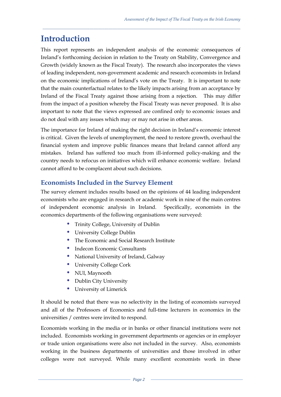# **Introduction**

This report represents an independent analysis of the economic consequences of Ireland's forthcoming decision in relation to the Treaty on Stability, Convergence and Growth (widely known as the Fiscal Treaty). The research also incorporates the views of leading independent, non-government academic and research economists in Ireland on the economic implications of Ireland's vote on the Treaty. It is important to note that the main counterfactual relates to the likely impacts arising from an acceptance by Ireland of the Fiscal Treaty against those arising from a rejection. This may differ from the impact of a position whereby the Fiscal Treaty was never proposed. It is also important to note that the views expressed are confined only to economic issues and do not deal with any issues which may or may not arise in other areas.

*\_\_\_\_\_\_\_\_\_\_\_\_\_\_\_\_\_\_\_\_\_\_\_\_\_\_\_\_\_\_\_\_\_\_\_\_\_\_\_\_\_\_\_\_\_\_\_\_\_\_\_\_\_\_\_\_\_\_\_\_\_\_\_\_\_\_\_\_\_\_\_\_\_\_\_\_\_\_\_\_\_\_\_\_\_\_\_\_\_\_\_\_\_* 

The importance for Ireland of making the right decision in Ireland's economic interest is critical. Given the levels of unemployment, the need to restore growth, overhaul the financial system and improve public finances means that Ireland cannot afford any mistakes. Ireland has suffered too much from ill-informed policy-making and the country needs to refocus on initiatives which will enhance economic welfare. Ireland cannot afford to be complacent about such decisions.

# **Economists Included in the Survey Element**

The survey element includes results based on the opinions of 44 leading independent economists who are engaged in research or academic work in nine of the main centres of independent economic analysis in Ireland. Specifically, economists in the economics departments of the following organisations were surveyed:

- Trinity College, University of Dublin
- University College Dublin
- The Economic and Social Research Institute
- Indecon Economic Consultants
- National University of Ireland, Galway
- University College Cork
- NUI, Maynooth
- Dublin City University
- University of Limerick

It should be noted that there was no selectivity in the listing of economists surveyed and all of the Professors of Economics and full-time lecturers in economics in the universities / centres were invited to respond.

Economists working in the media or in banks or other financial institutions were not included. Economists working in government departments or agencies or in employer or trade union organisations were also not included in the survey. Also, economists working in the business departments of universities and those involved in other colleges were not surveyed. While many excellent economists work in these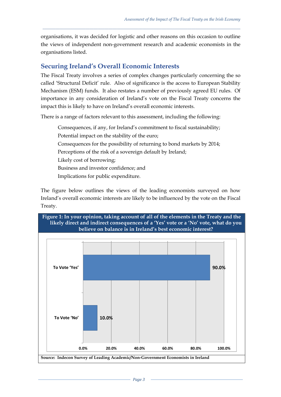organisations, it was decided for logistic and other reasons on this occasion to outline the views of independent non-government research and academic economists in the organisations listed.

*\_\_\_\_\_\_\_\_\_\_\_\_\_\_\_\_\_\_\_\_\_\_\_\_\_\_\_\_\_\_\_\_\_\_\_\_\_\_\_\_\_\_\_\_\_\_\_\_\_\_\_\_\_\_\_\_\_\_\_\_\_\_\_\_\_\_\_\_\_\_\_\_\_\_\_\_\_\_\_\_\_\_\_\_\_\_\_\_\_\_\_\_\_* 

# **Securing Ireland's Overall Economic Interests**

The Fiscal Treaty involves a series of complex changes particularly concerning the so called 'Structural Deficit' rule. Also of significance is the access to European Stability Mechanism (ESM) funds. It also restates a number of previously agreed EU rules. Of importance in any consideration of Ireland's vote on the Fiscal Treaty concerns the impact this is likely to have on Ireland's overall economic interests.

There is a range of factors relevant to this assessment, including the following:

- Consequences, if any, for Ireland's commitment to fiscal sustainability;
- Potential impact on the stability of the euro;
- Consequences for the possibility of returning to bond markets by 2014;
- Perceptions of the risk of a sovereign default by Ireland;
- Likely cost of borrowing;
- Business and investor confidence; and
- Implications for public expenditure.

The figure below outlines the views of the leading economists surveyed on how Ireland's overall economic interests are likely to be influenced by the vote on the Fiscal Treaty.

### **Figure 1: In your opinion, taking account of all of the elements in the Treaty and the likely direct and indirect consequences of a 'Yes' vote or a 'No' vote, what do you believe on balance is in Ireland's best economic interest?**

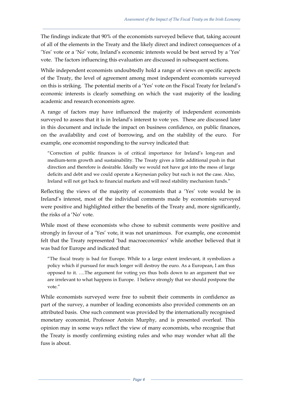The findings indicate that 90% of the economists surveyed believe that, taking account of all of the elements in the Treaty and the likely direct and indirect consequences of a 'Yes' vote or a 'No' vote, Ireland's economic interests would be best served by a 'Yes' vote. The factors influencing this evaluation are discussed in subsequent sections.

*\_\_\_\_\_\_\_\_\_\_\_\_\_\_\_\_\_\_\_\_\_\_\_\_\_\_\_\_\_\_\_\_\_\_\_\_\_\_\_\_\_\_\_\_\_\_\_\_\_\_\_\_\_\_\_\_\_\_\_\_\_\_\_\_\_\_\_\_\_\_\_\_\_\_\_\_\_\_\_\_\_\_\_\_\_\_\_\_\_\_\_\_\_* 

While independent economists undoubtedly hold a range of views on specific aspects of the Treaty, the level of agreement among most independent economists surveyed on this is striking. The potential merits of a 'Yes' vote on the Fiscal Treaty for Ireland's economic interests is clearly something on which the vast majority of the leading academic and research economists agree.

A range of factors may have influenced the majority of independent economists surveyed to assess that it is in Ireland's interest to vote yes. These are discussed later in this document and include the impact on business confidence, on public finances, on the availability and cost of borrowing, and on the stability of the euro. For example, one economist responding to the survey indicated that:

"Correction of public finances is of critical importance for Ireland's long-run and medium-term growth and sustainability. The Treaty gives a little additional push in that direction and therefore is desirable. Ideally we would not have got into the mess of large deficits and debt and we could operate a Keynesian policy but such is not the case. Also, Ireland will not get back to financial markets and will need stability mechanism funds."

Reflecting the views of the majority of economists that a 'Yes' vote would be in Ireland's interest, most of the individual comments made by economists surveyed were positive and highlighted either the benefits of the Treaty and, more significantly, the risks of a 'No' vote.

While most of these economists who chose to submit comments were positive and strongly in favour of a 'Yes' vote, it was not unanimous. For example, one economist felt that the Treaty represented 'bad macroeconomics' while another believed that it was bad for Europe and indicated that:

"The fiscal treaty is bad for Europe. While to a large extent irrelevant, it symbolizes a policy which if pursued for much longer will destroy the euro. As a European, I am thus opposed to it. ….The argument for voting yes thus boils down to an argument that we are irrelevant to what happens in Europe. I believe strongly that we should postpone the vote."

While economists surveyed were free to submit their comments in confidence as part of the survey, a number of leading economists also provided comments on an attributed basis. One such comment was provided by the internationally recognised monetary economist, Professor Antoin Murphy, and is presented overleaf. This opinion may in some ways reflect the view of many economists, who recognise that the Treaty is mostly confirming existing rules and who may wonder what all the fuss is about.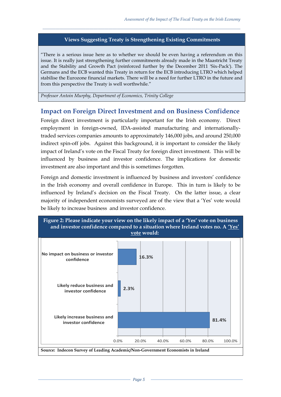## **Views Suggesting Treaty is Strengthening Existing Commitments**

*\_\_\_\_\_\_\_\_\_\_\_\_\_\_\_\_\_\_\_\_\_\_\_\_\_\_\_\_\_\_\_\_\_\_\_\_\_\_\_\_\_\_\_\_\_\_\_\_\_\_\_\_\_\_\_\_\_\_\_\_\_\_\_\_\_\_\_\_\_\_\_\_\_\_\_\_\_\_\_\_\_\_\_\_\_\_\_\_\_\_\_\_\_* 

"There is a serious issue here as to whether we should be even having a referendum on this issue. It is really just strengthening further commitments already made in the Maastricht Treaty and the Stability and Growth Pact (reinforced further by the December 2011 'Six-Pack'). The Germans and the ECB wanted this Treaty in return for the ECB introducing LTRO which helped stabilise the Eurozone financial markets. There will be a need for further LTRO in the future and from this perspective the Treaty is well worthwhile."

*Professor Antoin Murphy, Department of Economics, Trinity College* 

## **Impact on Foreign Direct Investment and on Business Confidence**

Foreign direct investment is particularly important for the Irish economy. Direct employment in foreign-owned, IDA-assisted manufacturing and internationallytraded services companies amounts to approximately 146,000 jobs, and around 250,000 indirect spin-off jobs. Against this background, it is important to consider the likely impact of Ireland's vote on the Fiscal Treaty for foreign direct investment. This will be influenced by business and investor confidence. The implications for domestic investment are also important and this is sometimes forgotten.

Foreign and domestic investment is influenced by business and investors' confidence in the Irish economy and overall confidence in Europe. This in turn is likely to be influenced by Ireland's decision on the Fiscal Treaty. On the latter issue, a clear majority of independent economists surveyed are of the view that a 'Yes' vote would be likely to increase business and investor confidence.

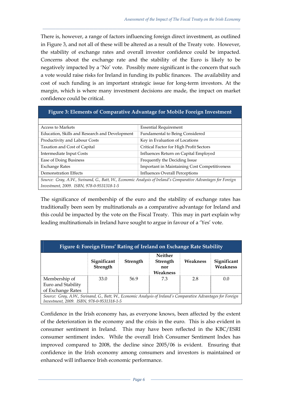There is, however, a range of factors influencing foreign direct investment, as outlined in Figure 3, and not all of these will be altered as a result of the Treaty vote. However, the stability of exchange rates and overall investor confidence could be impacted. Concerns about the exchange rate and the stability of the Euro is likely to be negatively impacted by a 'No' vote. Possibly more significant is the concern that such a vote would raise risks for Ireland in funding its public finances. The availability and cost of such funding is an important strategic issue for long-term investors. At the margin, which is where many investment decisions are made, the impact on market confidence could be critical.

*\_\_\_\_\_\_\_\_\_\_\_\_\_\_\_\_\_\_\_\_\_\_\_\_\_\_\_\_\_\_\_\_\_\_\_\_\_\_\_\_\_\_\_\_\_\_\_\_\_\_\_\_\_\_\_\_\_\_\_\_\_\_\_\_\_\_\_\_\_\_\_\_\_\_\_\_\_\_\_\_\_\_\_\_\_\_\_\_\_\_\_\_\_* 

#### **Figure 3: Elements of Comparative Advantage for Mobile Foreign Investment**

| <b>Access to Markets</b>                                                                                     | <b>Essential Requirement</b>                         |  |  |  |
|--------------------------------------------------------------------------------------------------------------|------------------------------------------------------|--|--|--|
| Education, Skills and Research and Development                                                               | Fundamental to Being Considered                      |  |  |  |
| Productivity and Labour Costs                                                                                | Key in Evaluation of Locations                       |  |  |  |
| Taxation and Cost of Capital                                                                                 | Critical Factor for High Profit Sectors              |  |  |  |
| Intermediate Input Costs                                                                                     | Influences Return on Capital Employed                |  |  |  |
| Ease of Doing Business                                                                                       | Frequently the Deciding Issue                        |  |  |  |
| <b>Exchange Rates</b>                                                                                        | <b>Important in Maintaining Cost Competitiveness</b> |  |  |  |
| Demonstration Effects                                                                                        | <b>Influences Overall Perceptions</b>                |  |  |  |
| Source: Gray, A.W., Swinand, G., Batt, W., Economic Analysis of Ireland's Comparative Advantages for Foreign |                                                      |  |  |  |
| Investment, 2009. ISBN, 978-0-9531318-1-5                                                                    |                                                      |  |  |  |

The significance of membership of the euro and the stability of exchange rates has traditionally been seen by multinationals as a comparative advantage for Ireland and this could be impacted by the vote on the Fiscal Treaty. This may in part explain why leading multinationals in Ireland have sought to argue in favour of a 'Yes' vote.

| Figure 4: Foreign Firms' Rating of Ireland on Exchange Rate Stability                                                                                     |                         |                 |                                               |          |                         |  |
|-----------------------------------------------------------------------------------------------------------------------------------------------------------|-------------------------|-----------------|-----------------------------------------------|----------|-------------------------|--|
|                                                                                                                                                           | Significant<br>Strength | <b>Strength</b> | Neither<br><b>Strength</b><br>nor<br>Weakness | Weakness | Significant<br>Weakness |  |
| Membership of                                                                                                                                             | 33.0                    | 569             | 73                                            | 2.8      | 0.0                     |  |
| Euro and Stability<br>of Exchange Rates                                                                                                                   |                         |                 |                                               |          |                         |  |
| Source: Gray, A.W., Swinand, G., Batt, W., Economic Analysis of Ireland's Comparative Advantages for Foreign<br>Investment, 2009. ISBN, 978-0-9531318-1-5 |                         |                 |                                               |          |                         |  |

Confidence in the Irish economy has, as everyone knows, been affected by the extent of the deterioration in the economy and the crisis in the euro. This is also evident in consumer sentiment in Ireland. This may have been reflected in the KBC/ESRI consumer sentiment index. While the overall Irish Consumer Sentiment Index has improved compared to 2008, the decline since 2005/06 is evident. Ensuring that confidence in the Irish economy among consumers and investors is maintained or enhanced will influence Irish economic performance.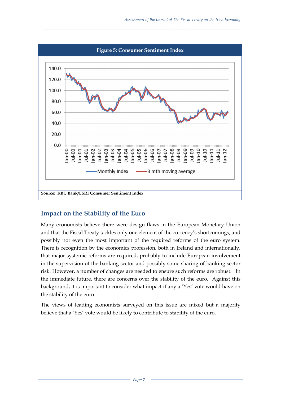

*\_\_\_\_\_\_\_\_\_\_\_\_\_\_\_\_\_\_\_\_\_\_\_\_\_\_\_\_\_\_\_\_\_\_\_\_\_\_\_\_\_\_\_\_\_\_\_\_\_\_\_\_\_\_\_\_\_\_\_\_\_\_\_\_\_\_\_\_\_\_\_\_\_\_\_\_\_\_\_\_\_\_\_\_\_\_\_\_\_\_\_\_\_* 

# **Impact on the Stability of the Euro**

Many economists believe there were design flaws in the European Monetary Union and that the Fiscal Treaty tackles only one element of the currency's shortcomings, and possibly not even the most important of the required reforms of the euro system. There is recognition by the economics profession, both in Ireland and internationally, that major systemic reforms are required, probably to include European involvement in the supervision of the banking sector and possibly some sharing of banking sector risk. However, a number of changes are needed to ensure such reforms are robust. In the immediate future, there are concerns over the stability of the euro. Against this background, it is important to consider what impact if any a 'Yes' vote would have on the stability of the euro.

The views of leading economists surveyed on this issue are mixed but a majority believe that a 'Yes' vote would be likely to contribute to stability of the euro.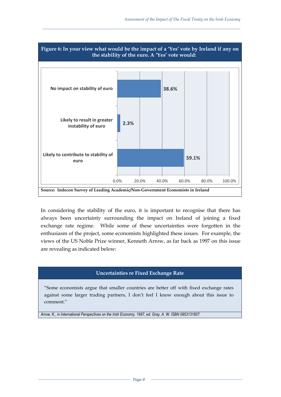

*\_\_\_\_\_\_\_\_\_\_\_\_\_\_\_\_\_\_\_\_\_\_\_\_\_\_\_\_\_\_\_\_\_\_\_\_\_\_\_\_\_\_\_\_\_\_\_\_\_\_\_\_\_\_\_\_\_\_\_\_\_\_\_\_\_\_\_\_\_\_\_\_\_\_\_\_\_\_\_\_\_\_\_\_\_\_\_\_\_\_\_\_\_* 

In considering the stability of the euro, it is important to recognise that there has always been uncertainty surrounding the impact on Ireland of joining a fixed exchange rate regime. While some of these uncertainties were forgotten in the enthusiasm of the project, some economists highlighted these issues. For example, the views of the US Noble Prize winner, Kenneth Arrow, as far back as 1997 on this issue are revealing as indicated below:

### **Uncertainties re Fixed Exchange Rate**

"Some economists argue that smaller countries are better off with fixed exchange rates against some larger trading partners, I don't feel I know enough about this issue to comment."

*Arrow, K., in International Perspectives on the Irish Economy, 1997, ed. Gray, A. W. ISBN 0953131807.*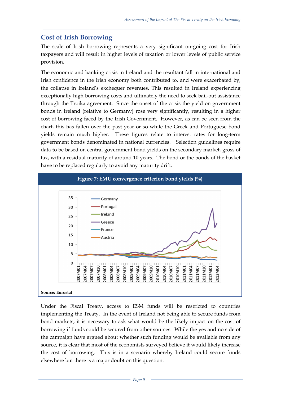# **Cost of Irish Borrowing**

The scale of Irish borrowing represents a very significant on-going cost for Irish taxpayers and will result in higher levels of taxation or lower levels of public service provision.

*\_\_\_\_\_\_\_\_\_\_\_\_\_\_\_\_\_\_\_\_\_\_\_\_\_\_\_\_\_\_\_\_\_\_\_\_\_\_\_\_\_\_\_\_\_\_\_\_\_\_\_\_\_\_\_\_\_\_\_\_\_\_\_\_\_\_\_\_\_\_\_\_\_\_\_\_\_\_\_\_\_\_\_\_\_\_\_\_\_\_\_\_\_* 

The economic and banking crisis in Ireland and the resultant fall in international and Irish confidence in the Irish economy both contributed to, and were exacerbated by, the collapse in Ireland's exchequer revenues. This resulted in Ireland experiencing exceptionally high borrowing costs and ultimately the need to seek bail-out assistance through the Troika agreement. Since the onset of the crisis the yield on government bonds in Ireland (relative to Germany) rose very significantly, resulting in a higher cost of borrowing faced by the Irish Government. However, as can be seen from the chart, this has fallen over the past year or so while the Greek and Portuguese bond yields remain much higher. These figures relate to interest rates for long-term government bonds denominated in national currencies. Selection guidelines require data to be based on central government bond yields on the secondary market, gross of tax, with a residual maturity of around 10 years. The bond or the bonds of the basket have to be replaced regularly to avoid any maturity drift.

![](_page_10_Figure_4.jpeg)

Under the Fiscal Treaty, access to ESM funds will be restricted to countries implementing the Treaty. In the event of Ireland not being able to secure funds from bond markets, it is necessary to ask what would be the likely impact on the cost of borrowing if funds could be secured from other sources. While the yes and no side of the campaign have argued about whether such funding would be available from any source, it is clear that most of the economists surveyed believe it would likely increase the cost of borrowing. This is in a scenario whereby Ireland could secure funds elsewhere but there is a major doubt on this question.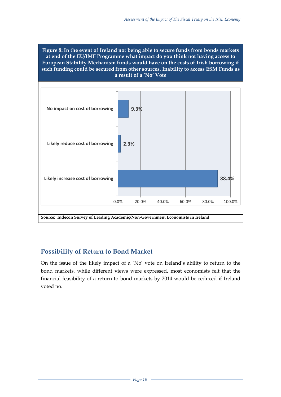![](_page_11_Figure_1.jpeg)

*\_\_\_\_\_\_\_\_\_\_\_\_\_\_\_\_\_\_\_\_\_\_\_\_\_\_\_\_\_\_\_\_\_\_\_\_\_\_\_\_\_\_\_\_\_\_\_\_\_\_\_\_\_\_\_\_\_\_\_\_\_\_\_\_\_\_\_\_\_\_\_\_\_\_\_\_\_\_\_\_\_\_\_\_\_\_\_\_\_\_\_\_\_* 

![](_page_11_Figure_2.jpeg)

# **Possibility of Return to Bond Market**

On the issue of the likely impact of a 'No' vote on Ireland's ability to return to the bond markets, while different views were expressed, most economists felt that the financial feasibility of a return to bond markets by 2014 would be reduced if Ireland voted no.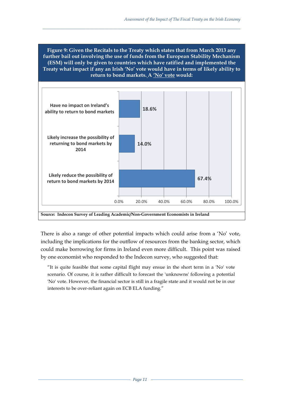**Figure 9: Given the Recitals to the Treaty which states that from March 2013 any further bail out involving the use of funds from the European Stability Mechanism (ESM) will only be given to countries which have ratified and implemented the Treaty what impact if any an Irish 'No' vote would have in terms of likely ability to return to bond markets. A 'No' vote would:** 

*\_\_\_\_\_\_\_\_\_\_\_\_\_\_\_\_\_\_\_\_\_\_\_\_\_\_\_\_\_\_\_\_\_\_\_\_\_\_\_\_\_\_\_\_\_\_\_\_\_\_\_\_\_\_\_\_\_\_\_\_\_\_\_\_\_\_\_\_\_\_\_\_\_\_\_\_\_\_\_\_\_\_\_\_\_\_\_\_\_\_\_\_\_* 

![](_page_12_Figure_2.jpeg)

There is also a range of other potential impacts which could arise from a 'No' vote, including the implications for the outflow of resources from the banking sector, which could make borrowing for firms in Ireland even more difficult. This point was raised by one economist who responded to the Indecon survey, who suggested that:

"It is quite feasible that some capital flight may ensue in the short term in a 'No' vote scenario. Of course, it is rather difficult to forecast the 'unknowns' following a potential 'No' vote. However, the financial sector is still in a fragile state and it would not be in our interests to be over-reliant again on ECB ELA funding."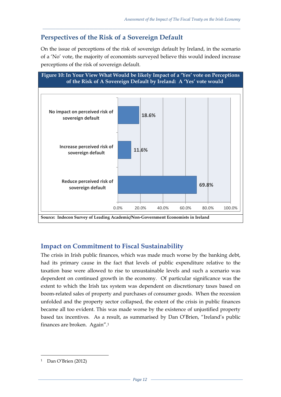# **Perspectives of the Risk of a Sovereign Default**

On the issue of perceptions of the risk of sovereign default by Ireland, in the scenario of a 'No' vote, the majority of economists surveyed believe this would indeed increase perceptions of the risk of sovereign default.

*\_\_\_\_\_\_\_\_\_\_\_\_\_\_\_\_\_\_\_\_\_\_\_\_\_\_\_\_\_\_\_\_\_\_\_\_\_\_\_\_\_\_\_\_\_\_\_\_\_\_\_\_\_\_\_\_\_\_\_\_\_\_\_\_\_\_\_\_\_\_\_\_\_\_\_\_\_\_\_\_\_\_\_\_\_\_\_\_\_\_\_\_\_* 

![](_page_13_Figure_3.jpeg)

# **Impact on Commitment to Fiscal Sustainability**

The crisis in Irish public finances, which was made much worse by the banking debt, had its primary cause in the fact that levels of public expenditure relative to the taxation base were allowed to rise to unsustainable levels and such a scenario was dependent on continued growth in the economy. Of particular significance was the extent to which the Irish tax system was dependent on discretionary taxes based on boom-related sales of property and purchases of consumer goods. When the recession unfolded and the property sector collapsed, the extent of the crisis in public finances became all too evident. This was made worse by the existence of unjustified property based tax incentives. As a result, as summarised by Dan O'Brien, "Ireland's public finances are broken. Again".<sup>1</sup>

1

<sup>1</sup> Dan O'Brien (2012)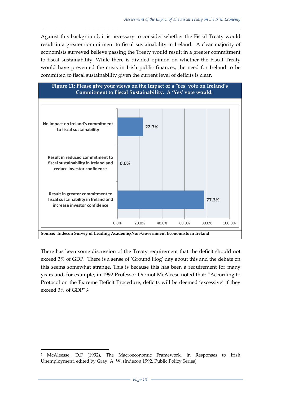Against this background, it is necessary to consider whether the Fiscal Treaty would result in a greater commitment to fiscal sustainability in Ireland. A clear majority of economists surveyed believe passing the Treaty would result in a greater commitment to fiscal sustainability. While there is divided opinion on whether the Fiscal Treaty would have prevented the crisis in Irish public finances, the need for Ireland to be committed to fiscal sustainability given the current level of deficits is clear.

*\_\_\_\_\_\_\_\_\_\_\_\_\_\_\_\_\_\_\_\_\_\_\_\_\_\_\_\_\_\_\_\_\_\_\_\_\_\_\_\_\_\_\_\_\_\_\_\_\_\_\_\_\_\_\_\_\_\_\_\_\_\_\_\_\_\_\_\_\_\_\_\_\_\_\_\_\_\_\_\_\_\_\_\_\_\_\_\_\_\_\_\_\_* 

![](_page_14_Figure_2.jpeg)

There has been some discussion of the Treaty requirement that the deficit should not exceed 3% of GDP. There is a sense of 'Ground Hog' day about this and the debate on this seems somewhat strange. This is because this has been a requirement for many years and, for example, in 1992 Professor Dermot McAleese noted that: "According to Protocol on the Extreme Deficit Procedure, deficits will be deemed 'excessive' if they exceed 3% of GDP".<sup>2</sup>

 $\overline{a}$ 

<sup>2</sup> McAleesse, D.F (1992), The Macroeconomic Framework, in Responses to Irish Unemployment, edited by Gray, A. W. (Indecon 1992, Public Policy Series)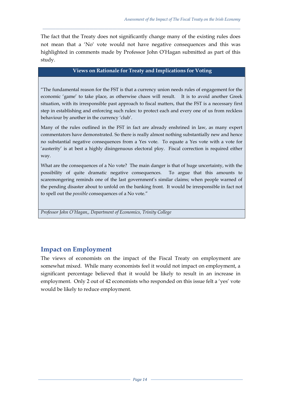The fact that the Treaty does not significantly change many of the existing rules does not mean that a 'No' vote would not have negative consequences and this was highlighted in comments made by Professor John O'Hagan submitted as part of this study.

*\_\_\_\_\_\_\_\_\_\_\_\_\_\_\_\_\_\_\_\_\_\_\_\_\_\_\_\_\_\_\_\_\_\_\_\_\_\_\_\_\_\_\_\_\_\_\_\_\_\_\_\_\_\_\_\_\_\_\_\_\_\_\_\_\_\_\_\_\_\_\_\_\_\_\_\_\_\_\_\_\_\_\_\_\_\_\_\_\_\_\_\_\_* 

### **Views on Rationale for Treaty and Implications for Voting**

"The fundamental reason for the FST is that a currency union needs rules of engagement for the economic 'game' to take place, as otherwise chaos will result. It is to avoid another Greek situation, with its irresponsible past approach to fiscal matters, that the FST is a necessary first step in establishing and enforcing such rules: to protect each and every one of us from reckless behaviour by another in the currency 'club'.

Many of the rules outlined in the FST in fact are already enshrined in law, as many expert commentators have demonstrated. So there is really almost nothing substantially new and hence no substantial negative consequences from a Yes vote. To equate a Yes vote with a vote for 'austerity' is at best a highly disingenuous electoral ploy. Fiscal correction is required either way.

What are the consequences of a No vote? The main danger is that of huge uncertainty, with the possibility of quite dramatic negative consequences. To argue that this amounts to scaremongering reminds one of the last government's similar claims; when people warned of the pending disaster about to unfold on the banking front. It would be irresponsible in fact not to spell out the *possible* consequences of a No vote."

*Professor John O'Hagan,, Department of Economics, Trinity College* 

# **Impact on Employment**

The views of economists on the impact of the Fiscal Treaty on employment are somewhat mixed. While many economists feel it would not impact on employment, a significant percentage believed that it would be likely to result in an increase in employment. Only 2 out of 42 economists who responded on this issue felt a 'yes' vote would be likely to reduce employment.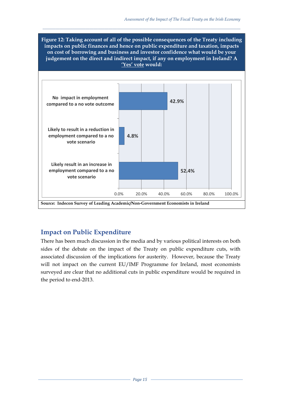**Figure 12: Taking account of all of the possible consequences of the Treaty including impacts on public finances and hence on public expenditure and taxation, impacts on cost of borrowing and business and investor confidence what would be your judgement on the direct and indirect impact, if any on employment in Ireland? A 'Yes' vote would:** 

*\_\_\_\_\_\_\_\_\_\_\_\_\_\_\_\_\_\_\_\_\_\_\_\_\_\_\_\_\_\_\_\_\_\_\_\_\_\_\_\_\_\_\_\_\_\_\_\_\_\_\_\_\_\_\_\_\_\_\_\_\_\_\_\_\_\_\_\_\_\_\_\_\_\_\_\_\_\_\_\_\_\_\_\_\_\_\_\_\_\_\_\_\_* 

![](_page_16_Figure_2.jpeg)

# **Impact on Public Expenditure**

There has been much discussion in the media and by various political interests on both sides of the debate on the impact of the Treaty on public expenditure cuts, with associated discussion of the implications for austerity. However, because the Treaty will not impact on the current EU/IMF Programme for Ireland, most economists surveyed are clear that no additional cuts in public expenditure would be required in the period to end-2013.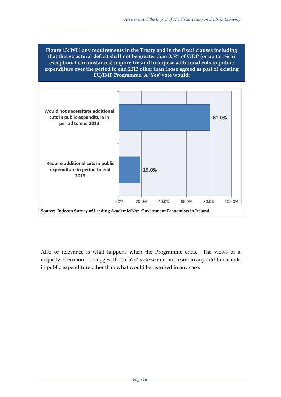**Figure 13: Will any requirements in the Treaty and in the fiscal clauses including that that structural deficit shall not be greater than 0.5% of GDP (or up to 1% in exceptional circumstances) require Ireland to impose additional cuts in public expenditure over the period to end 2013 other than those agreed as part of existing EU/IMF Programme. A 'Yes' vote would:** 

*\_\_\_\_\_\_\_\_\_\_\_\_\_\_\_\_\_\_\_\_\_\_\_\_\_\_\_\_\_\_\_\_\_\_\_\_\_\_\_\_\_\_\_\_\_\_\_\_\_\_\_\_\_\_\_\_\_\_\_\_\_\_\_\_\_\_\_\_\_\_\_\_\_\_\_\_\_\_\_\_\_\_\_\_\_\_\_\_\_\_\_\_\_* 

![](_page_17_Figure_2.jpeg)

Also of relevance is what happens when the Programme ends. The views of a majority of economists suggest that a 'Yes' vote would not result in any additional cuts in public expenditure other than what would be required in any case.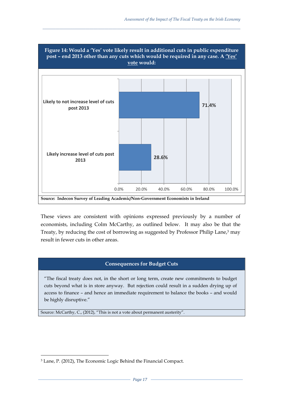![](_page_18_Figure_1.jpeg)

*\_\_\_\_\_\_\_\_\_\_\_\_\_\_\_\_\_\_\_\_\_\_\_\_\_\_\_\_\_\_\_\_\_\_\_\_\_\_\_\_\_\_\_\_\_\_\_\_\_\_\_\_\_\_\_\_\_\_\_\_\_\_\_\_\_\_\_\_\_\_\_\_\_\_\_\_\_\_\_\_\_\_\_\_\_\_\_\_\_\_\_\_\_* 

These views are consistent with opinions expressed previously by a number of economists, including Colm McCarthy, as outlined below. It may also be that the Treaty, by reducing the cost of borrowing as suggested by Professor Philip Lane,<sup>3</sup> may result in fewer cuts in other areas.

#### **Consequences for Budget Cuts**

"The fiscal treaty does not, in the short or long term, create new commitments to budget cuts beyond what is in store anyway. But rejection could result in a sudden drying up of access to finance – and hence an immediate requirement to balance the books – and would be highly disruptive."

Source: McCarthy, C., (2012), "This is not a vote about permanent austerity".

1

<sup>3</sup> Lane, P. (2012), The Economic Logic Behind the Financial Compact.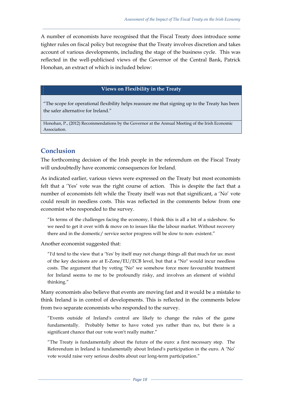A number of economists have recognised that the Fiscal Treaty does introduce some tighter rules on fiscal policy but recognise that the Treaty involves discretion and takes account of various developments, including the stage of the business cycle. This was reflected in the well-publicised views of the Governor of the Central Bank, Patrick Honohan, an extract of which is included below:

*\_\_\_\_\_\_\_\_\_\_\_\_\_\_\_\_\_\_\_\_\_\_\_\_\_\_\_\_\_\_\_\_\_\_\_\_\_\_\_\_\_\_\_\_\_\_\_\_\_\_\_\_\_\_\_\_\_\_\_\_\_\_\_\_\_\_\_\_\_\_\_\_\_\_\_\_\_\_\_\_\_\_\_\_\_\_\_\_\_\_\_\_\_* 

#### **Views on Flexibility in the Treaty**

"The scope for operational flexibility helps reassure me that signing up to the Treaty has been the safer alternative for Ireland."

Honohan, P., (2012) Recommendations by the Governor at the Annual Meeting of the Irish Economic Association.

# **Conclusion**

The forthcoming decision of the Irish people in the referendum on the Fiscal Treaty will undoubtedly have economic consequences for Ireland.

As indicated earlier, various views were expressed on the Treaty but most economists felt that a 'Yes' vote was the right course of action. This is despite the fact that a number of economists felt while the Treaty itself was not that significant, a 'No' vote could result in needless costs. This was reflected in the comments below from one economist who responded to the survey.

"In terms of the challenges facing the economy, I think this is all a bit of a sideshow. So we need to get it over with & move on to issues like the labour market. Without recovery there and in the domestic/ service sector progress will be slow to non- existent."

Another economist suggested that:

"I'd tend to the view that a 'Yes' by itself may not change things all that much for us: most of the key decisions are at E-Zone/EU/ECB level, but that a "No" would incur needless costs. The argument that by voting "No" we somehow force more favourable treatment for Ireland seems to me to be profoundly risky, and involves an element of wishful thinking."

Many economists also believe that events are moving fast and it would be a mistake to think Ireland is in control of developments. This is reflected in the comments below from two separate economists who responded to the survey.

"Events outside of Ireland's control are likely to change the rules of the game fundamentally. Probably better to have voted yes rather than no, but there is a significant chance that our vote won't really matter."

"The Treaty is fundamentally about the future of the euro: a first necessary step. The Referendum in Ireland is fundamentally about Ireland's participation in the euro. A 'No' vote would raise very serious doubts about our long-term participation."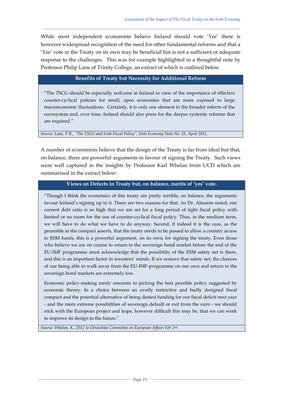While most independent economists believe Ireland should vote 'Yes' there is however widespread recognition of the need for other fundamental reforms and that a 'Yes' vote in the Treaty on its own may be beneficial but is not a sufficient or adequate response to the challenges. This was for example highlighted in a thoughtful note by Professor Philip Lane of Trinity College, an extract of which is outlined below.

*\_\_\_\_\_\_\_\_\_\_\_\_\_\_\_\_\_\_\_\_\_\_\_\_\_\_\_\_\_\_\_\_\_\_\_\_\_\_\_\_\_\_\_\_\_\_\_\_\_\_\_\_\_\_\_\_\_\_\_\_\_\_\_\_\_\_\_\_\_\_\_\_\_\_\_\_\_\_\_\_\_\_\_\_\_\_\_\_\_\_\_\_\_* 

### **Benefits of Treaty but Necessity for Additional Reform**

"The TSCG should be especially welcome in Ireland in view of the importance of effective counter-cyclical policies for small, open economies that are more exposed to large macroeconomic fluctuations. Certainly, it is only one element in the broader reform of the eurosystem and, over time, Ireland should also press for the deeper systemic reforms that are required."

*Source: Lane, P.R., "The TSCG and Irish Fiscal Policy", Irish Economy Note No. 15, April 2012.*

A number of economists believe that the design of the Treaty is far from ideal but that, on balance, there are powerful arguments in favour of signing the Treaty. Such views were well captured in the insights by Professor Karl Whelan from UCD which are summarised in the extract below:

#### **Views on Defects in Treaty but, on balance, merits of 'yes' vote.**

"Though I think the economics of this treaty are pretty terrible, on balance, the arguments favour Ireland's signing up to it. There are two reasons for that. As Dr. Ahearne noted, our current debt ratio is so high that we are set for a long period of tight fiscal policy with limited or no room for the use of counter-cyclical fiscal policy. Thus, in the medium term, we will have to do what we have to do anyway. Second, if indeed it is the case, as the preamble to the compact asserts, that the treaty needs to be passed to allow a country access to ESM funds, this is a powerful argument, on its own, for signing the treaty. Even those who believe we are on course to return to the sovereign bond market before the end of the EU-IMF programme must acknowledge that the possibility of the ESM safety net is there, and this is an important factor in investors' minds. If we remove that safety net, the chances of our being able to walk away from the EU-IMF programme on our own and return to the sovereign bond markets are extremely low.

Economic policy-making rarely amounts to picking the best possible policy suggested by economic theory. In a choice between an overly restrictive and badly designed fiscal compact and the potential alternative of being denied funding for our fiscal deficit next year - and the more extreme possibilities of sovereign default or exit from the euro - we should stick with the European project and hope, however difficult this may be, that we can work to improve its design in the future."

*Source: Whelan, K., 2012 to Oireachtas Committee on European Affairs Feb 2nd.*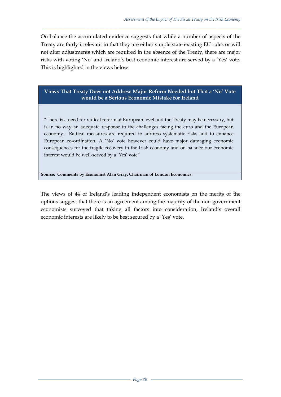On balance the accumulated evidence suggests that while a number of aspects of the Treaty are fairly irrelevant in that they are either simple state existing EU rules or will not alter adjustments which are required in the absence of the Treaty, there are major risks with voting 'No' and Ireland's best economic interest are served by a 'Yes' vote. This is highlighted in the views below:

*\_\_\_\_\_\_\_\_\_\_\_\_\_\_\_\_\_\_\_\_\_\_\_\_\_\_\_\_\_\_\_\_\_\_\_\_\_\_\_\_\_\_\_\_\_\_\_\_\_\_\_\_\_\_\_\_\_\_\_\_\_\_\_\_\_\_\_\_\_\_\_\_\_\_\_\_\_\_\_\_\_\_\_\_\_\_\_\_\_\_\_\_\_* 

### **Views That Treaty Does not Address Major Reform Needed but That a 'No' Vote would be a Serious Economic Mistake for Ireland**

"There is a need for radical reform at European level and the Treaty may be necessary, but is in no way an adequate response to the challenges facing the euro and the European economy. Radical measures are required to address systematic risks and to enhance European co-ordination. A 'No' vote however could have major damaging economic consequences for the fragile recovery in the Irish economy and on balance our economic interest would be well-served by a 'Yes' vote"

**Source: Comments by Economist Alan Gray, Chairman of London Economics.**

The views of 44 of Ireland's leading independent economists on the merits of the options suggest that there is an agreement among the majority of the non-government economists surveyed that taking all factors into consideration, Ireland's overall economic interests are likely to be best secured by a 'Yes' vote.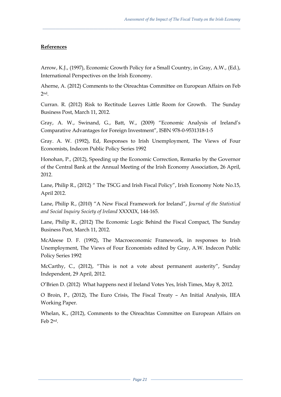### **References**

Arrow, K.J., (1997), Economic Growth Policy for a Small Country, in Gray, A.W., (Ed.), International Perspectives on the Irish Economy.

*\_\_\_\_\_\_\_\_\_\_\_\_\_\_\_\_\_\_\_\_\_\_\_\_\_\_\_\_\_\_\_\_\_\_\_\_\_\_\_\_\_\_\_\_\_\_\_\_\_\_\_\_\_\_\_\_\_\_\_\_\_\_\_\_\_\_\_\_\_\_\_\_\_\_\_\_\_\_\_\_\_\_\_\_\_\_\_\_\_\_\_\_\_* 

Aherne, A. (2012) Comments to the Oireachtas Committee on European Affairs on Feb  $2nd$ 

Curran. R. (2012) Risk to Rectitude Leaves Little Room for Growth. The Sunday Business Post, March 11, 2012.

Gray, A. W., Swinand, G., Batt, W., (2009) "Economic Analysis of Ireland's Comparative Advantages for Foreign Investment", ISBN 978-0-9531318-1-5

Gray. A. W. (1992), Ed, Responses to Irish Unemployment, The Views of Four Economists, Indecon Public Policy Series 1992

Honohan, P., (2012), Speeding up the Economic Correction, Remarks by the Governor of the Central Bank at the Annual Meeting of the Irish Economy Association, 26 April, 2012.

Lane, Philip R., (2012) " The TSCG and Irish Fiscal Policy", Irish Economy Note No.15, April 2012.

Lane, Philip R., (2010) "A New Fiscal Framework for Ireland", *Journal of the Statistical and Social Inquiry Society of Ireland* XXXXIX, 144-165.

Lane, Philip R., (2012) The Economic Logic Behind the Fiscal Compact, The Sunday Business Post, March 11, 2012.

McAleese D. F. (1992), The Macroeconomic Framework, in responses to Irish Unemployment, The Views of Four Economists edited by Gray, A.W. Indecon Public Policy Series 1992

McCarthy, C., (2012), "This is not a vote about permanent austerity", Sunday Independent, 29 April, 2012.

O'Brien D. (2012) What happens next if Ireland Votes Yes, Irish Times, May 8, 2012.

O Broin, P., (2012), The Euro Crisis, The Fiscal Treaty – An Initial Analysis, IIEA Working Paper.

Whelan, K., (2012), Comments to the Oireachtas Committee on European Affairs on Feb 2nd.